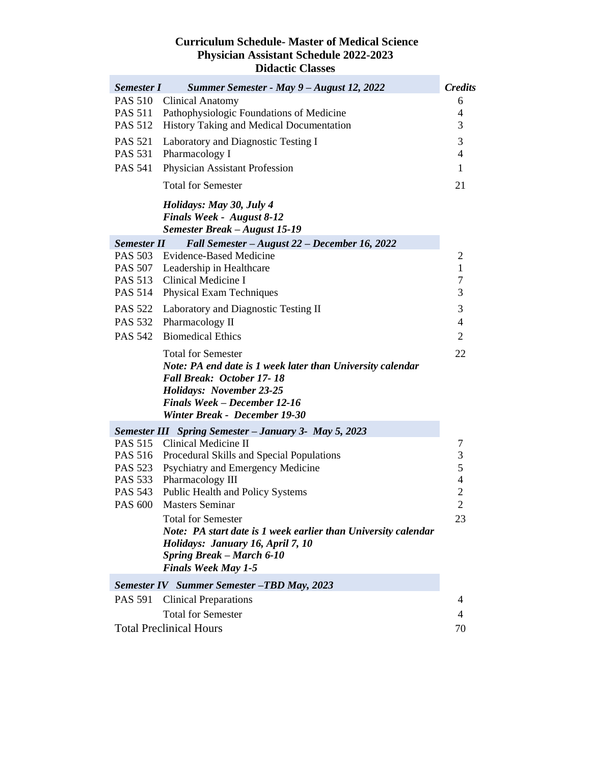## **Curriculum Schedule- Master of Medical Science Physician Assistant Schedule 2022-2023 Didactic Classes**

| <b>Semester I</b>                                 | Summer Semester - May 9 – August 12, 2022                                                                                                                                                                                       | <b>Credits</b>           |  |  |
|---------------------------------------------------|---------------------------------------------------------------------------------------------------------------------------------------------------------------------------------------------------------------------------------|--------------------------|--|--|
| <b>PAS 510</b>                                    | <b>Clinical Anatomy</b>                                                                                                                                                                                                         | 6                        |  |  |
| <b>PAS 511</b>                                    | Pathophysiologic Foundations of Medicine                                                                                                                                                                                        | 4                        |  |  |
| <b>PAS 512</b>                                    | History Taking and Medical Documentation                                                                                                                                                                                        | 3                        |  |  |
| <b>PAS 521</b>                                    | Laboratory and Diagnostic Testing I                                                                                                                                                                                             | 3                        |  |  |
| <b>PAS 531</b>                                    | Pharmacology I                                                                                                                                                                                                                  | $\overline{4}$           |  |  |
| <b>PAS 541</b>                                    | Physician Assistant Profession                                                                                                                                                                                                  | $\mathbf{1}$             |  |  |
|                                                   | <b>Total for Semester</b>                                                                                                                                                                                                       | 21                       |  |  |
|                                                   | Holidays: May 30, July 4<br><b>Finals Week - August 8-12</b><br>Semester Break - August 15-19                                                                                                                                   |                          |  |  |
| <b>Semester II</b>                                | Fall Semester - August 22 - December 16, 2022                                                                                                                                                                                   |                          |  |  |
| PAS 503                                           | <b>Evidence-Based Medicine</b>                                                                                                                                                                                                  | 2                        |  |  |
|                                                   | PAS 507 Leadership in Healthcare                                                                                                                                                                                                | $\mathbf{1}$             |  |  |
|                                                   | PAS 513 Clinical Medicine I                                                                                                                                                                                                     | $\overline{7}$           |  |  |
| <b>PAS 514</b>                                    | <b>Physical Exam Techniques</b>                                                                                                                                                                                                 | 3                        |  |  |
| <b>PAS 522</b>                                    | Laboratory and Diagnostic Testing II                                                                                                                                                                                            | 3                        |  |  |
| <b>PAS 532</b>                                    | Pharmacology II                                                                                                                                                                                                                 | $\overline{4}$           |  |  |
| <b>PAS 542</b>                                    | <b>Biomedical Ethics</b>                                                                                                                                                                                                        | $\overline{2}$           |  |  |
|                                                   | <b>Total for Semester</b><br>Note: PA end date is 1 week later than University calendar<br>Fall Break: October 17-18<br><b>Holidays: November 23-25</b><br><b>Finals Week - December 12-16</b><br>Winter Break - December 19-30 | 22                       |  |  |
|                                                   | <b>Semester III</b> Spring Semester - January 3- May 5, 2023                                                                                                                                                                    |                          |  |  |
| PAS 515                                           | Clinical Medicine II                                                                                                                                                                                                            | 7                        |  |  |
| PAS 516                                           | Procedural Skills and Special Populations                                                                                                                                                                                       | $\mathfrak{Z}$           |  |  |
| <b>PAS 523</b>                                    | Psychiatry and Emergency Medicine                                                                                                                                                                                               | 5                        |  |  |
| PAS 533                                           | Pharmacology III                                                                                                                                                                                                                | $\overline{4}$           |  |  |
| PAS 543                                           | Public Health and Policy Systems                                                                                                                                                                                                | $\overline{c}$           |  |  |
| <b>PAS 600</b>                                    | <b>Masters Seminar</b>                                                                                                                                                                                                          | $\overline{c}$           |  |  |
|                                                   | <b>Total for Semester</b><br>Note: PA start date is 1 week earlier than University calendar<br>Holidays: January 16, April 7, 10<br><b>Spring Break – March 6-10</b><br><b>Finals Week May 1-5</b>                              | 23                       |  |  |
| <b>Semester IV</b> Summer Semester -TBD May, 2023 |                                                                                                                                                                                                                                 |                          |  |  |
| <b>PAS 591</b>                                    | <b>Clinical Preparations</b>                                                                                                                                                                                                    | 4                        |  |  |
|                                                   | <b>Total for Semester</b>                                                                                                                                                                                                       | $\overline{\mathcal{A}}$ |  |  |
| <b>Total Preclinical Hours</b>                    |                                                                                                                                                                                                                                 |                          |  |  |